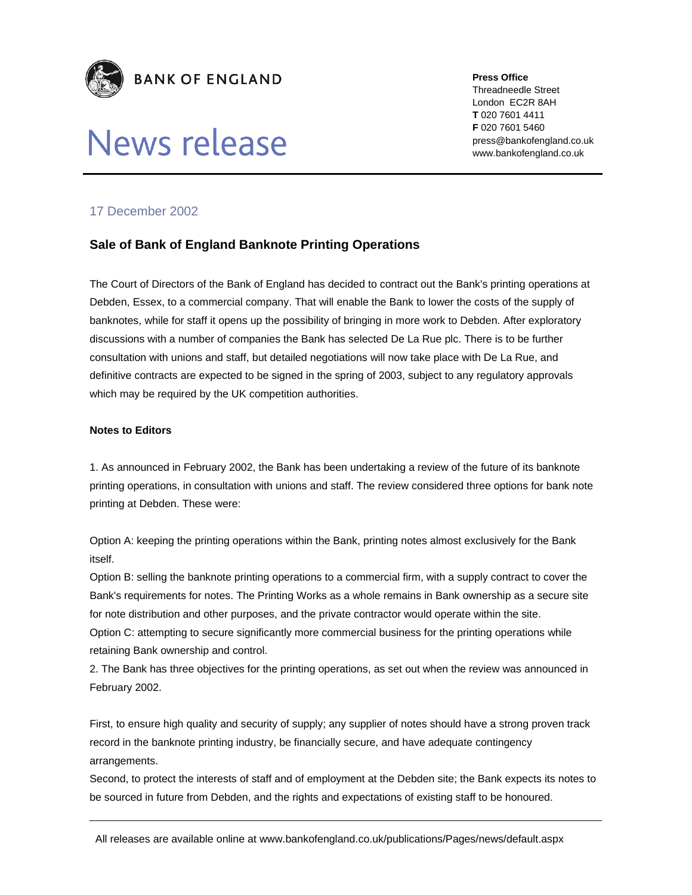

## News release

**Press Office** 

Threadneedle Street London EC2R 8AH **T** 020 7601 4411 **F** 020 7601 5460 press@bankofengland.co.uk www.bankofengland.co.uk

## 17 December 2002

## **Sale of Bank of England Banknote Printing Operations**

The Court of Directors of the Bank of England has decided to contract out the Bank's printing operations at Debden, Essex, to a commercial company. That will enable the Bank to lower the costs of the supply of banknotes, while for staff it opens up the possibility of bringing in more work to Debden. After exploratory discussions with a number of companies the Bank has selected De La Rue plc. There is to be further consultation with unions and staff, but detailed negotiations will now take place with De La Rue, and definitive contracts are expected to be signed in the spring of 2003, subject to any regulatory approvals which may be required by the UK competition authorities.

## **Notes to Editors**

1. As announced in February 2002, the Bank has been undertaking a review of the future of its banknote printing operations, in consultation with unions and staff. The review considered three options for bank note printing at Debden. These were:

Option A: keeping the printing operations within the Bank, printing notes almost exclusively for the Bank itself.

Option B: selling the banknote printing operations to a commercial firm, with a supply contract to cover the Bank's requirements for notes. The Printing Works as a whole remains in Bank ownership as a secure site for note distribution and other purposes, and the private contractor would operate within the site. Option C: attempting to secure significantly more commercial business for the printing operations while retaining Bank ownership and control.

2. The Bank has three objectives for the printing operations, as set out when the review was announced in February 2002.

First, to ensure high quality and security of supply; any supplier of notes should have a strong proven track record in the banknote printing industry, be financially secure, and have adequate contingency arrangements.

Second, to protect the interests of staff and of employment at the Debden site; the Bank expects its notes to be sourced in future from Debden, and the rights and expectations of existing staff to be honoured.